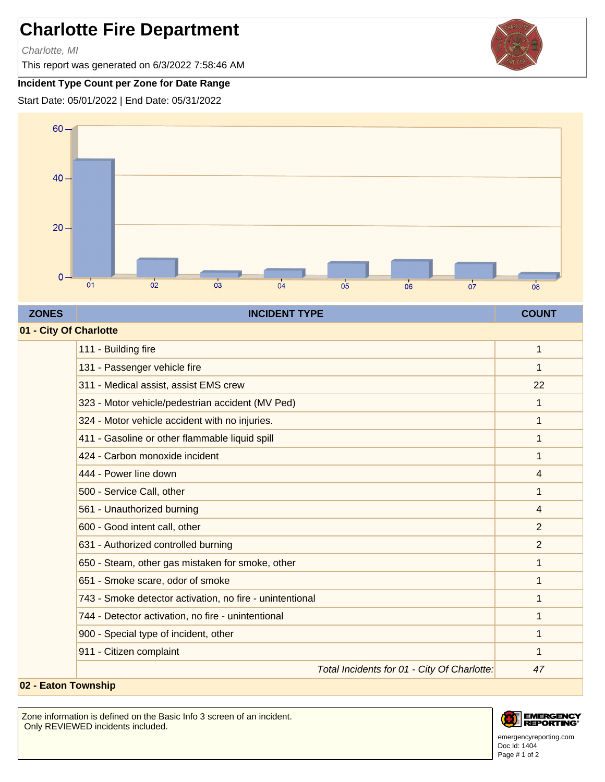## **Charlotte Fire Department**

Charlotte, MI

This report was generated on 6/3/2022 7:58:46 AM

## **Incident Type Count per Zone for Date Range**

Start Date: 05/01/2022 | End Date: 05/31/2022



## **ZONES INCIDENT TYPE COUNT**

| 01 - City Of Charlotte |                                                          |                |  |
|------------------------|----------------------------------------------------------|----------------|--|
|                        | 111 - Building fire                                      | 1              |  |
|                        | 131 - Passenger vehicle fire                             | 1              |  |
|                        | 311 - Medical assist, assist EMS crew                    | 22             |  |
|                        | 323 - Motor vehicle/pedestrian accident (MV Ped)         | 1              |  |
|                        | 324 - Motor vehicle accident with no injuries.           | 1              |  |
|                        | 411 - Gasoline or other flammable liquid spill           | 1              |  |
|                        | 424 - Carbon monoxide incident                           | 1              |  |
|                        | 444 - Power line down                                    | 4              |  |
|                        | 500 - Service Call, other                                | 1              |  |
|                        | 561 - Unauthorized burning                               | 4              |  |
|                        | 600 - Good intent call, other                            | $\overline{2}$ |  |
|                        | 631 - Authorized controlled burning                      | 2              |  |
|                        | 650 - Steam, other gas mistaken for smoke, other         | 1              |  |
|                        | 651 - Smoke scare, odor of smoke                         | 1              |  |
|                        | 743 - Smoke detector activation, no fire - unintentional | 1              |  |
|                        | 744 - Detector activation, no fire - unintentional       | 1              |  |
|                        | 900 - Special type of incident, other                    | 1              |  |
|                        | 911 - Citizen complaint                                  |                |  |
|                        | Total Incidents for 01 - City Of Charlotte.              | 47             |  |

## **02 - Eaton Township**

Zone information is defined on the Basic Info 3 screen of an incident. Only REVIEWED incidents included.